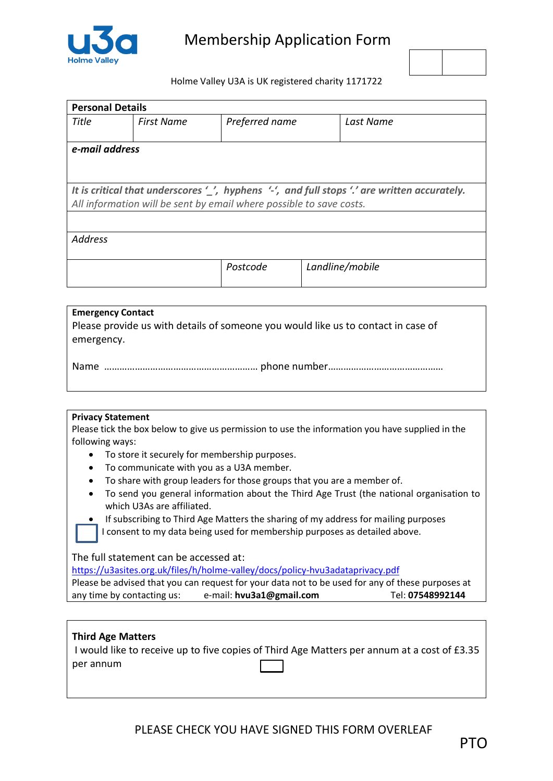



Holme Valley U3A is UK registered charity 1171722

| <b>Personal Details</b> |                                                                     |                |  |                                                                                                                           |  |
|-------------------------|---------------------------------------------------------------------|----------------|--|---------------------------------------------------------------------------------------------------------------------------|--|
| Title                   | <b>First Name</b>                                                   | Preferred name |  | Last Name                                                                                                                 |  |
| e-mail address          |                                                                     |                |  |                                                                                                                           |  |
|                         | All information will be sent by email where possible to save costs. |                |  | It is critical that underscores $\prime$ , hyphens $\prime\prime$ , and full stops $\prime\prime$ are written accurately. |  |
|                         |                                                                     |                |  |                                                                                                                           |  |
| <b>Address</b>          |                                                                     |                |  |                                                                                                                           |  |
|                         |                                                                     | Postcode       |  | Landline/mobile                                                                                                           |  |

| <b>Emergency Contact</b><br>Please provide us with details of someone you would like us to contact in case of<br>  emergency. |
|-------------------------------------------------------------------------------------------------------------------------------|
|                                                                                                                               |

## **Privacy Statement**

Please tick the box below to give us permission to use the information you have supplied in the following ways:

- To store it securely for membership purposes.
- To communicate with you as a U3A member.
- To share with group leaders for those groups that you are a member of.
- To send you general information about the Third Age Trust (the national organisation to which U3As are affiliated.

 If subscribing to Third Age Matters the sharing of my address for mailing purposes I consent to my data being used for membership purposes as detailed above.

The full statement can be accessed at:

[https://u3asites.org.uk/files/h/holme-valley/docs/policy-hvu3adataprivacy.pdf](about:blank)

|                            | Please be advised that you can request for your data not to be used for any of these purposes at |                  |
|----------------------------|--------------------------------------------------------------------------------------------------|------------------|
| any time by contacting us: | e-mail: hvu3a1@gmail.com                                                                         | Tel: 07548992144 |

# **Third Age Matters**

|           | I would like to receive up to five copies of Third Age Matters per annum at a cost of £3.35 |
|-----------|---------------------------------------------------------------------------------------------|
| per annum |                                                                                             |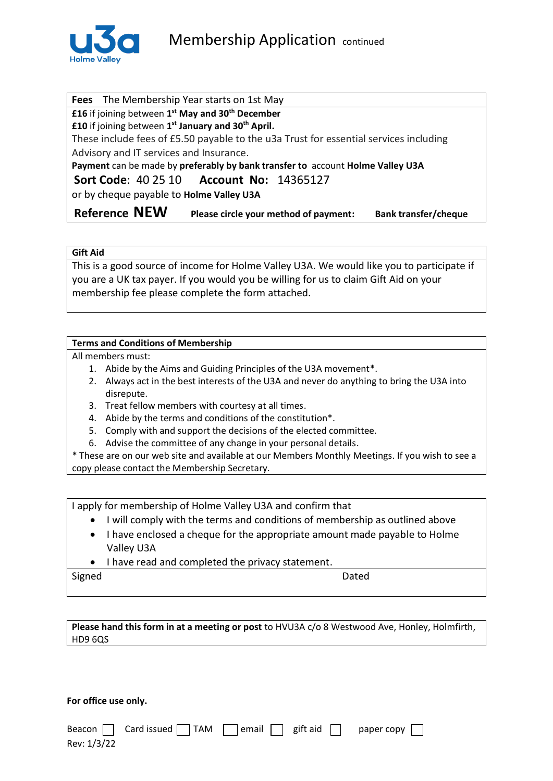

**Fees** The Membership Year starts on 1st May **£16** if joining between **1 st May and 30th December £10** if joining between **1 st January and 30th April.**  These include fees of £5.50 payable to the u3a Trust for essential services including Advisory and IT services and Insurance. **Payment** can be made by **preferably by bank transfer to** account **Holme Valley U3A Sort Code**: 40 25 10 **Account No:** 14365127 or by cheque payable to **Holme Valley U3A Reference NEW Please circle your method of payment: Bank transfer/cheque**

## **Gift Aid**

This is a good source of income for Holme Valley U3A. We would like you to participate if you are a UK tax payer. If you would you be willing for us to claim Gift Aid on your membership fee please complete the form attached.

# **Terms and Conditions of Membership**

All members must:

- 1. Abide by the Aims and Guiding Principles of the U3A movement\*.
- 2. Always act in the best interests of the U3A and never do anything to bring the U3A into disrepute.
- 3. Treat fellow members with courtesy at all times.
- 4. Abide by the terms and conditions of the constitution\*.
- 5. Comply with and support the decisions of the elected committee.
- 6. Advise the committee of any change in your personal details.

\* These are on our web site and available at our Members Monthly Meetings. If you wish to see a copy please contact the Membership Secretary.

I apply for membership of Holme Valley U3A and confirm that

- I will comply with the terms and conditions of membership as outlined above
- I have enclosed a cheque for the appropriate amount made payable to Holme Valley U3A
- I have read and completed the privacy statement.

Signed **Dated** 

**Please hand this form in at a meeting or post** to HVU3A c/o 8 Westwood Ave, Honley, Holmfirth, HD9 6QS

**For office use only.**

|             |  |  | Beacon $\Box$ Card issued $\Box$ TAM $\Box$ email $\Box$ gift aid $\Box$ paper copy $\Box$ |
|-------------|--|--|--------------------------------------------------------------------------------------------|
| Rev: 1/3/22 |  |  |                                                                                            |